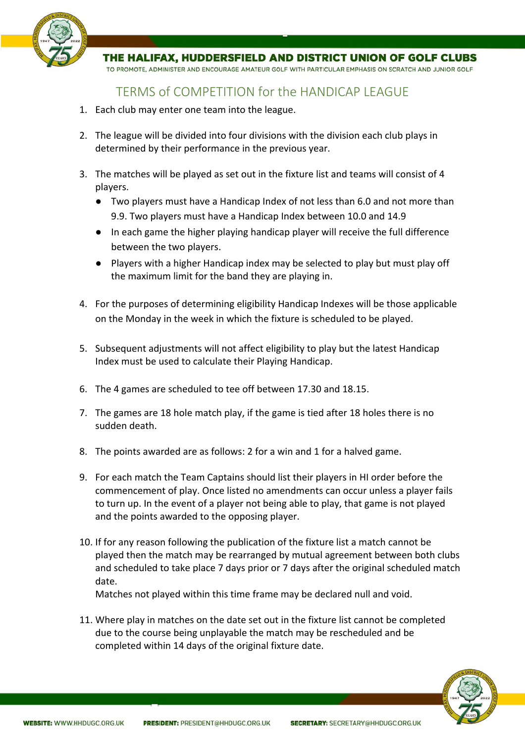

THE HALIFAX, HUDDERSFIELD AND DISTRICT UNION OF GOLF CLUBS

TO PROMOTE, ADMINISTER AND ENCOURAGE AMATEUR GOLF WITH PARTICULAR EMPHASIS ON SCRATCH AND JUNIOR GOLF

## TERMS of COMPETITION for the HANDICAP LEAGUE

- 1. Each club may enter one team into the league.
- 2. The league will be divided into four divisions with the division each club plays in determined by their performance in the previous year.
- 3. The matches will be played as set out in the fixture list and teams will consist of 4 players.
	- Two players must have a Handicap Index of not less than 6.0 and not more than 9.9. Two players must have a Handicap Index between 10.0 and 14.9
	- In each game the higher playing handicap player will receive the full difference between the two players.
	- Players with a higher Handicap index may be selected to play but must play off the maximum limit for the band they are playing in.
- 4. For the purposes of determining eligibility Handicap Indexes will be those applicable on the Monday in the week in which the fixture is scheduled to be played.
- 5. Subsequent adjustments will not affect eligibility to play but the latest Handicap Index must be used to calculate their Playing Handicap.
- 6. The 4 games are scheduled to tee off between 17.30 and 18.15.
- 7. The games are 18 hole match play, if the game is tied after 18 holes there is no sudden death.
- 8. The points awarded are as follows: 2 for a win and 1 for a halved game.
- 9. For each match the Team Captains should list their players in HI order before the commencement of play. Once listed no amendments can occur unless a player fails to turn up. In the event of a player not being able to play, that game is not played and the points awarded to the opposing player.
- 10. If for any reason following the publication of the fixture list a match cannot be played then the match may be rearranged by mutual agreement between both clubs and scheduled to take place 7 days prior or 7 days after the original scheduled match date.

Matches not played within this time frame may be declared null and void.

11. Where play in matches on the date set out in the fixture list cannot be completed due to the course being unplayable the match may be rescheduled and be completed within 14 days of the original fixture date.